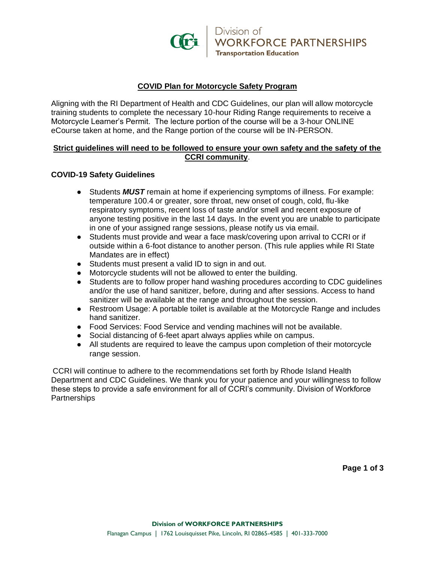

## **COVID Plan for Motorcycle Safety Program**

Aligning with the RI Department of Health and CDC Guidelines, our plan will allow motorcycle training students to complete the necessary 10-hour Riding Range requirements to receive a Motorcycle Learner's Permit. The lecture portion of the course will be a 3-hour ONLINE eCourse taken at home, and the Range portion of the course will be IN-PERSON.

### **Strict guidelines will need to be followed to ensure your own safety and the safety of the CCRI community**.

### **COVID-19 Safety Guidelines**

- Students *MUST* remain at home if experiencing symptoms of illness. For example: temperature 100.4 or greater, sore throat, new onset of cough, cold, flu-like respiratory symptoms, recent loss of taste and/or smell and recent exposure of anyone testing positive in the last 14 days. In the event you are unable to participate in one of your assigned range sessions, please notify us via email.
- Students must provide and wear a face mask/covering upon arrival to CCRI or if outside within a 6-foot distance to another person. (This rule applies while RI State Mandates are in effect)
- Students must present a valid ID to sign in and out.
- Motorcycle students will not be allowed to enter the building.
- Students are to follow proper hand washing procedures according to CDC guidelines and/or the use of hand sanitizer, before, during and after sessions. Access to hand sanitizer will be available at the range and throughout the session.
- Restroom Usage: A portable toilet is available at the Motorcycle Range and includes hand sanitizer.
- Food Services: Food Service and vending machines will not be available.
- Social distancing of 6-feet apart always applies while on campus.
- All students are required to leave the campus upon completion of their motorcycle range session.

CCRI will continue to adhere to the recommendations set forth by Rhode Island Health Department and CDC Guidelines. We thank you for your patience and your willingness to follow these steps to provide a safe environment for all of CCRI's community. Division of Workforce **Partnerships** 

**Page 1 of 3**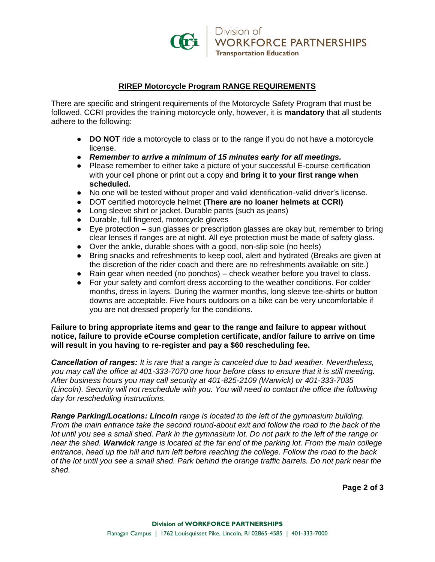

# **RIREP Motorcycle Program RANGE REQUIREMENTS**

There are specific and stringent requirements of the Motorcycle Safety Program that must be followed. CCRI provides the training motorcycle only, however, it is **mandatory** that all students adhere to the following:

- **DO NOT** ride a motorcycle to class or to the range if you do not have a motorcycle license.
- *Remember to arrive a minimum of 15 minutes early for all meetings.*
- Please remember to either take a picture of your successful E-course certification with your cell phone or print out a copy and **bring it to your first range when scheduled.**
- No one will be tested without proper and valid identification-valid driver's license.
- DOT certified motorcycle helmet **(There are no loaner helmets at CCRI)**
- Long sleeve shirt or jacket. Durable pants (such as jeans)
- Durable, full fingered, motorcycle gloves
- Eye protection sun glasses or prescription glasses are okay but, remember to bring clear lenses if ranges are at night. All eye protection must be made of safety glass.
- Over the ankle, durable shoes with a good, non-slip sole (no heels)
- Bring snacks and refreshments to keep cool, alert and hydrated (Breaks are given at the discretion of the rider coach and there are no refreshments available on site.)
- Rain gear when needed (no ponchos) check weather before you travel to class.
- For your safety and comfort dress according to the weather conditions. For colder months, dress in layers. During the warmer months, long sleeve tee-shirts or button downs are acceptable. Five hours outdoors on a bike can be very uncomfortable if you are not dressed properly for the conditions.

**Failure to bring appropriate items and gear to the range and failure to appear without notice, failure to provide eCourse completion certificate, and/or failure to arrive on time will result in you having to re-register and pay a \$60 rescheduling fee.**

*Cancellation of ranges: It is rare that a range is canceled due to bad weather. Nevertheless, you may call the office at 401-333-7070 one hour before class to ensure that it is still meeting. After business hours you may call security at 401-825-2109 (Warwick) or 401-333-7035 (Lincoln). Security will not reschedule with you. You will need to contact the office the following day for rescheduling instructions.* 

*Range Parking/Locations: Lincoln range is located to the left of the gymnasium building. From the main entrance take the second round-about exit and follow the road to the back of the lot until you see a small shed. Park in the gymnasium lot. Do not park to the left of the range or near the shed. Warwick range is located at the far end of the parking lot. From the main college entrance, head up the hill and turn left before reaching the college. Follow the road to the back of the lot until you see a small shed. Park behind the orange traffic barrels. Do not park near the shed.* 

**Page 2 of 3**